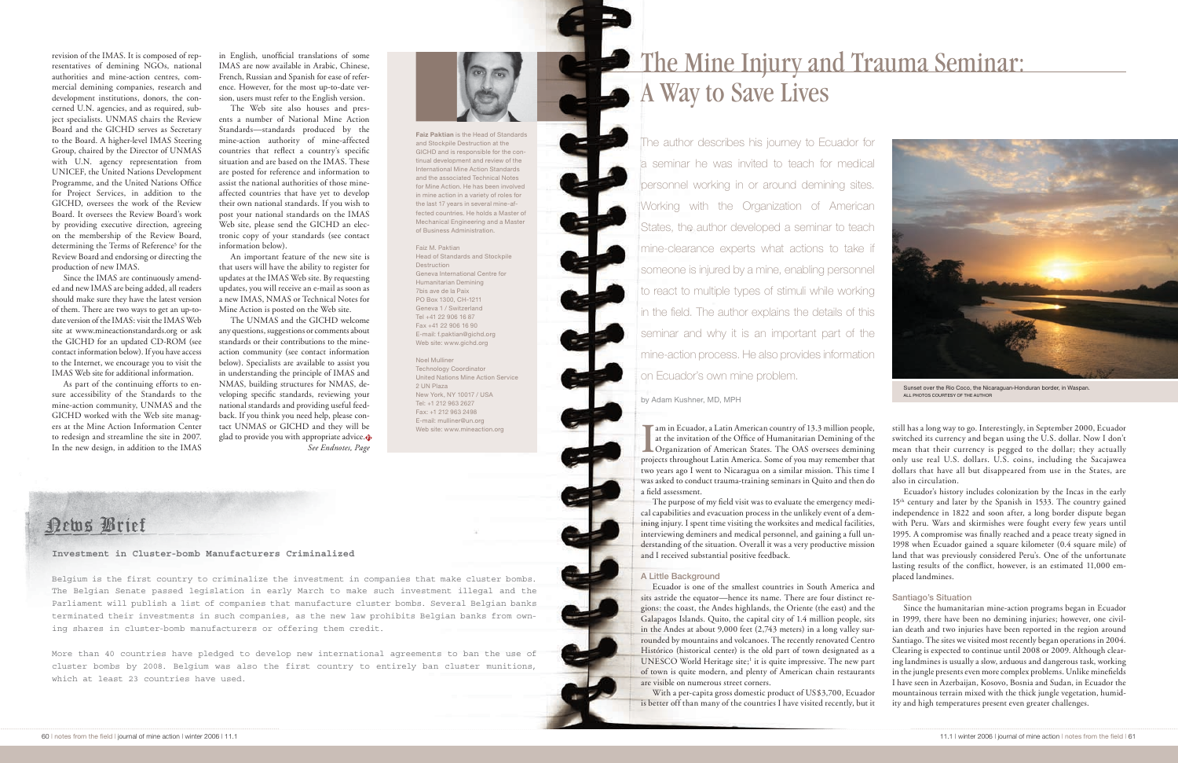## The Mine Injury and Trauma Seminar: A Way to Save Lives

The author describes his journey to Ecuador for a seminar he was invited to teach for medical personnel working in or around demining sites. Working with the Organization of American States, the author developed a seminar to teach mine-clearance experts what actions to take if someone is injured by a mine, enabling personnel to react to multiple types of stimuli while working in the field. The author explains the details of this seminar and why it is an important part of the mine-action process. He also provides information on Ecuador's own mine problem.

ALL PHOTOS COURTESY OF THE AUTHOR by Adam Kushner, MD, MPH

I am in Ecuador, a Latin American country of 13.3 million people, at the invitation of the Office of Humanitarian Demining of the Organization of American States. The OAS oversees demining projects throughout Latin America am in Ecuador, a Latin American country of 13.3 million people, at the invitation of the Office of Humanitarian Demining of the projects throughout Latin America. Some of you may remember that two years ago I went to Nicaragua on a similar mission. This time I was asked to conduct trauma-training seminars in Quito and then do a field assessment.

The purpose of my field visit was to evaluate the emergency medical capabilities and evacuation process in the unlikely event of a demining injury. I spent time visiting the worksites and medical facilities, interviewing deminers and medical personnel, and gaining a full understanding of the situation. Overall it was a very productive mission and I received substantial positive feedback.

## A Little Background

Ecuador is one of the smallest countries in South America and sits astride the equator—hence its name. There are four distinct regions: the coast, the Andes highlands, the Oriente (the east) and the Galapagos Islands. Quito, the capital city of 1.4 million people, sits in the Andes at about 9,000 feet (2,743 meters) in a long valley surrounded by mountains and volcanoes. The recently renovated Centro Histórico (historical center) is the old part of town designated as a UNESCO World Heritage site;<sup>1</sup> it is quite impressive. The new part of town is quite modern, and plenty of American chain restaurants are visible on numerous street corners.

With a per-capita gross domestic product of US\$3,700, Ecuador is better off than many of the countries I have visited recently, but it



Sunset over the Rio Coco, the Nicaraguan-Honduran border, in Waspan.

still has a long way to go. Interestingly, in September 2000, Ecuador switched its currency and began using the U.S. dollar. Now I don't mean that their currency is pegged to the dollar; they actually only use real U.S. dollars. U.S. coins, including the Sacajawea dollars that have all but disappeared from use in the States, are also in circulation.

Ecuador's history includes colonization by the Incas in the early 15<sup>th</sup> century and later by the Spanish in 1533. The country gained independence in 1822 and soon after, a long border dispute began with Peru. Wars and skirmishes were fought every few years until 1995. A compromise was finally reached and a peace treaty signed in 1998 when Ecuador gained a square kilometer (0.4 square mile) of land that was previously considered Peru's. One of the unfortunate lasting results of the conflict, however, is an estimated 11,000 emplaced landmines.

## Santiago's Situation

Since the humanitarian mine-action programs began in Ecuador in 1999, there have been no demining injuries; however, one civilian death and two injuries have been reported in the region around Santiago. The sites we visited most recently began operations in 2004. Clearing is expected to continue until 2008 or 2009. Although clearing landmines is usually a slow, arduous and dangerous task, working in the jungle presents even more complex problems. Unlike minefields I have seen in Azerbaijan, Kosovo, Bosnia and Sudan, in Ecuador the mountainous terrain mixed with the thick jungle vegetation, humidity and high temperatures present even greater challenges.